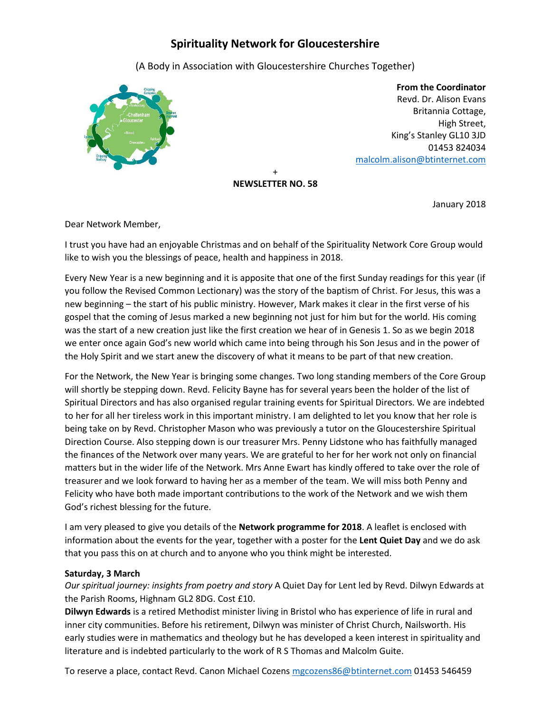# **Spirituality Network for Gloucestershire**

(A Body in Association with Gloucestershire Churches Together)



 **From the Coordinator** Revd. Dr. Alison Evans Britannia Cottage, High Street, King's Stanley GL10 3JD 01453 824034 [malcolm.alison@btinternet.com](mailto:malcolm.alison@btinternet.com)

+ **NEWSLETTER NO. 58**

January 2018

Dear Network Member,

I trust you have had an enjoyable Christmas and on behalf of the Spirituality Network Core Group would like to wish you the blessings of peace, health and happiness in 2018.

Every New Year is a new beginning and it is apposite that one of the first Sunday readings for this year (if you follow the Revised Common Lectionary) was the story of the baptism of Christ. For Jesus, this was a new beginning – the start of his public ministry. However, Mark makes it clear in the first verse of his gospel that the coming of Jesus marked a new beginning not just for him but for the world. His coming was the start of a new creation just like the first creation we hear of in Genesis 1. So as we begin 2018 we enter once again God's new world which came into being through his Son Jesus and in the power of the Holy Spirit and we start anew the discovery of what it means to be part of that new creation.

For the Network, the New Year is bringing some changes. Two long standing members of the Core Group will shortly be stepping down. Revd. Felicity Bayne has for several years been the holder of the list of Spiritual Directors and has also organised regular training events for Spiritual Directors. We are indebted to her for all her tireless work in this important ministry. I am delighted to let you know that her role is being take on by Revd. Christopher Mason who was previously a tutor on the Gloucestershire Spiritual Direction Course. Also stepping down is our treasurer Mrs. Penny Lidstone who has faithfully managed the finances of the Network over many years. We are grateful to her for her work not only on financial matters but in the wider life of the Network. Mrs Anne Ewart has kindly offered to take over the role of treasurer and we look forward to having her as a member of the team. We will miss both Penny and Felicity who have both made important contributions to the work of the Network and we wish them God's richest blessing for the future.

I am very pleased to give you details of the **Network programme for 2018**. A leaflet is enclosed with information about the events for the year, together with a poster for the **Lent Quiet Day** and we do ask that you pass this on at church and to anyone who you think might be interested.

## **Saturday, 3 March**

*Our spiritual journey: insights from poetry and story* A Quiet Day for Lent led by Revd. Dilwyn Edwards at the Parish Rooms, Highnam GL2 8DG. Cost £10.

**Dilwyn Edwards** is a retired Methodist minister living in Bristol who has experience of life in rural and inner city communities. Before his retirement, Dilwyn was minister of Christ Church, Nailsworth. His early studies were in mathematics and theology but he has developed a keen interest in spirituality and literature and is indebted particularly to the work of R S Thomas and Malcolm Guite.

To reserve a place, contact Revd. Canon Michael Cozens [mgcozens86@btinternet.com](mailto:mgcozens86@btinternet.com) 01453 546459